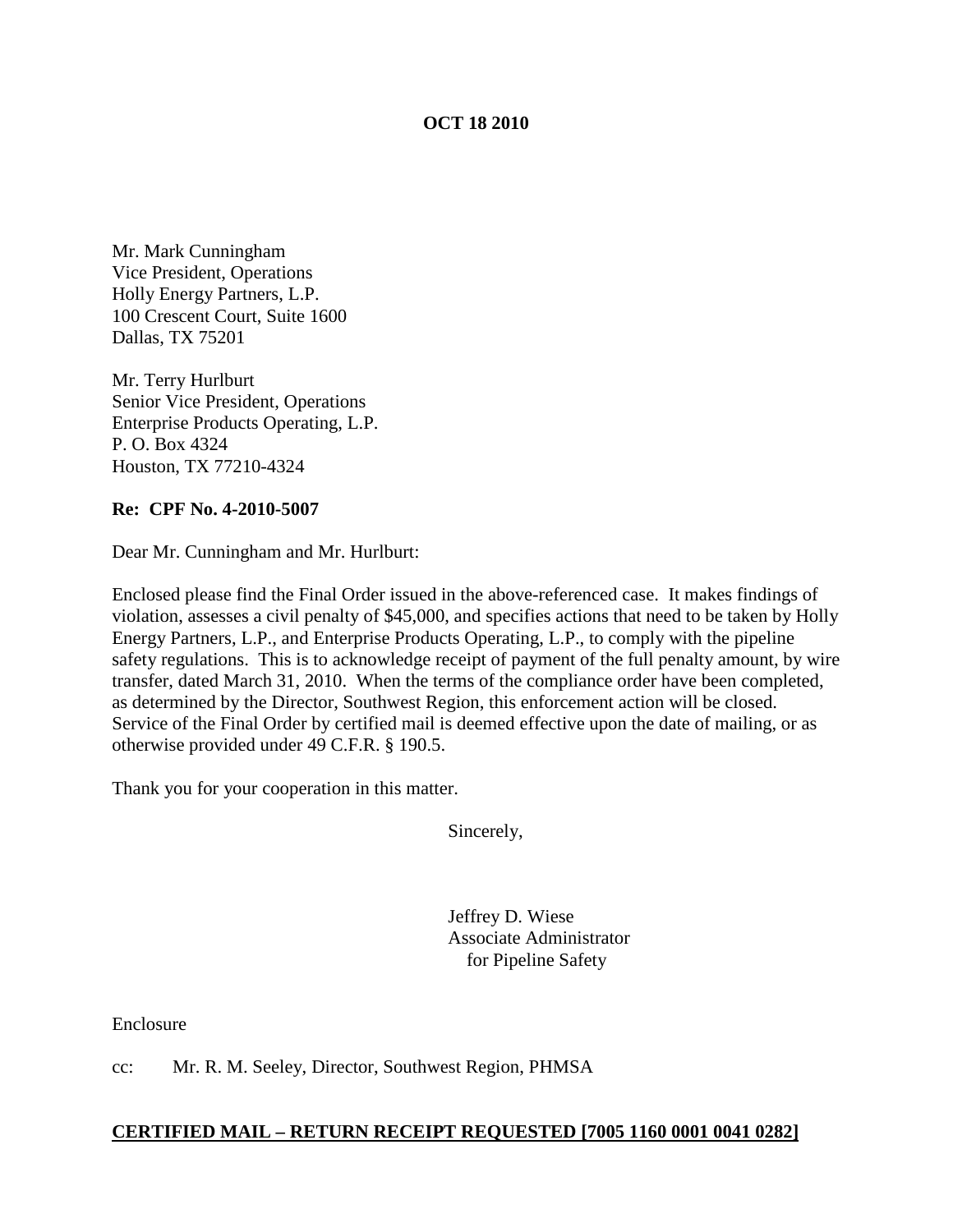### **OCT 18 2010**

Mr. Mark Cunningham Vice President, Operations Holly Energy Partners, L.P. 100 Crescent Court, Suite 1600 Dallas, TX 75201

Mr. Terry Hurlburt Senior Vice President, Operations Enterprise Products Operating, L.P. P. O. Box 4324 Houston, TX 77210-4324

#### **Re: CPF No. 4-2010-5007**

Dear Mr. Cunningham and Mr. Hurlburt:

Enclosed please find the Final Order issued in the above-referenced case. It makes findings of violation, assesses a civil penalty of \$45,000, and specifies actions that need to be taken by Holly Energy Partners, L.P., and Enterprise Products Operating, L.P., to comply with the pipeline safety regulations. This is to acknowledge receipt of payment of the full penalty amount, by wire transfer, dated March 31, 2010. When the terms of the compliance order have been completed, as determined by the Director, Southwest Region, this enforcement action will be closed. Service of the Final Order by certified mail is deemed effective upon the date of mailing, or as otherwise provided under 49 C.F.R. § 190.5.

Thank you for your cooperation in this matter.

Sincerely,

Jeffrey D. Wiese Associate Administrator for Pipeline Safety

Enclosure

cc: Mr. R. M. Seeley, Director, Southwest Region, PHMSA

#### **CERTIFIED MAIL – RETURN RECEIPT REQUESTED [7005 1160 0001 0041 0282]**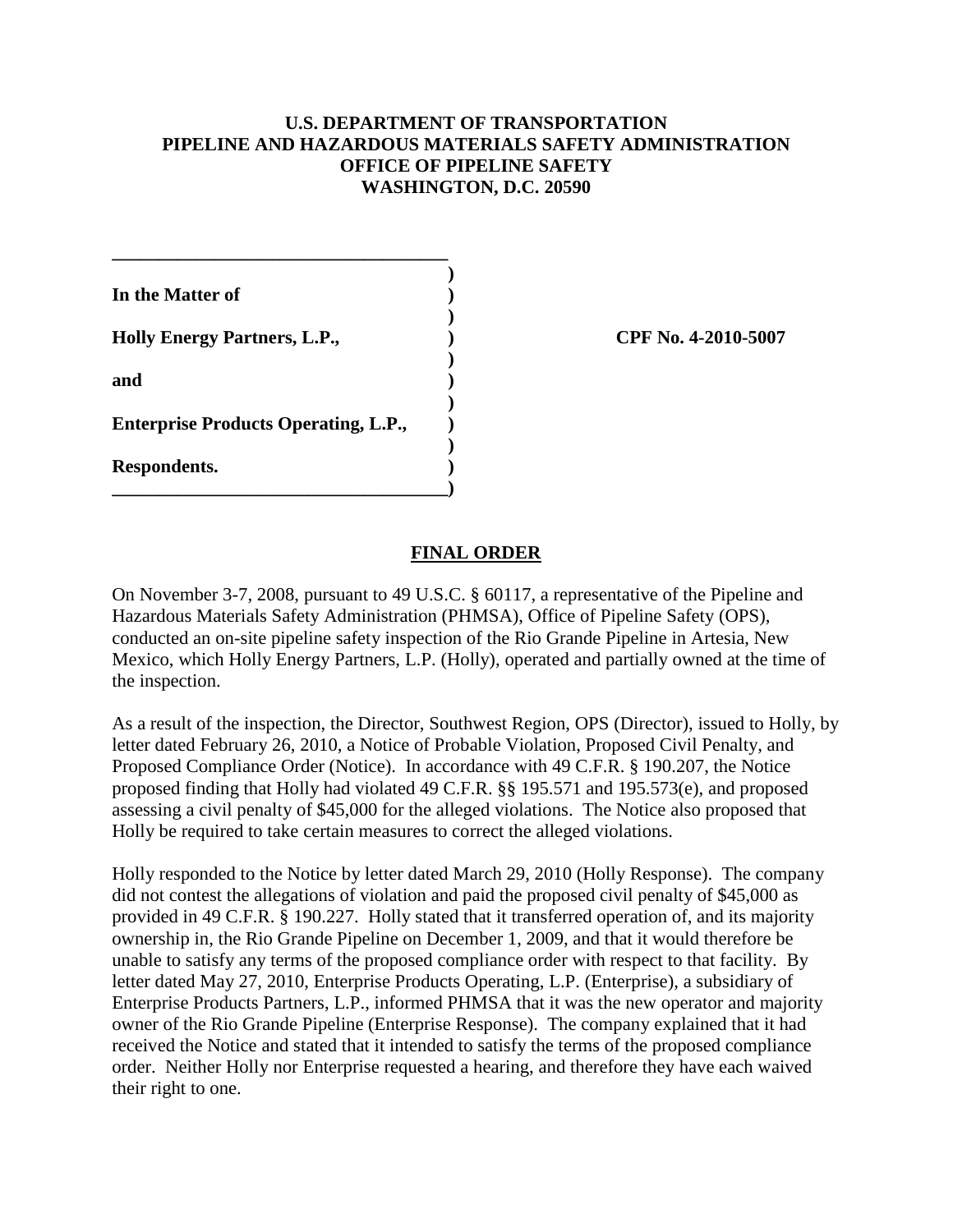## **U.S. DEPARTMENT OF TRANSPORTATION PIPELINE AND HAZARDOUS MATERIALS SAFETY ADMINISTRATION OFFICE OF PIPELINE SAFETY WASHINGTON, D.C. 20590**

| In the Matter of                            |  |
|---------------------------------------------|--|
| <b>Holly Energy Partners, L.P.,</b>         |  |
| and                                         |  |
| <b>Enterprise Products Operating, L.P.,</b> |  |
| Respondents.                                |  |

**\_\_\_\_\_\_\_\_\_\_\_\_\_\_\_\_\_\_\_\_\_\_\_\_\_\_\_\_\_\_\_\_\_\_\_\_**

**Holly Energy Partners, L.P., ) CPF No. 4-2010-5007**

## **FINAL ORDER**

On November 3-7, 2008, pursuant to 49 U.S.C. § 60117, a representative of the Pipeline and Hazardous Materials Safety Administration (PHMSA), Office of Pipeline Safety (OPS), conducted an on-site pipeline safety inspection of the Rio Grande Pipeline in Artesia, New Mexico, which Holly Energy Partners, L.P. (Holly), operated and partially owned at the time of the inspection.

As a result of the inspection, the Director, Southwest Region, OPS (Director), issued to Holly, by letter dated February 26, 2010, a Notice of Probable Violation, Proposed Civil Penalty, and Proposed Compliance Order (Notice). In accordance with 49 C.F.R. § 190.207, the Notice proposed finding that Holly had violated 49 C.F.R. §§ 195.571 and 195.573(e), and proposed assessing a civil penalty of \$45,000 for the alleged violations. The Notice also proposed that Holly be required to take certain measures to correct the alleged violations.

Holly responded to the Notice by letter dated March 29, 2010 (Holly Response). The company did not contest the allegations of violation and paid the proposed civil penalty of \$45,000 as provided in 49 C.F.R. § 190.227. Holly stated that it transferred operation of, and its majority ownership in, the Rio Grande Pipeline on December 1, 2009, and that it would therefore be unable to satisfy any terms of the proposed compliance order with respect to that facility. By letter dated May 27, 2010, Enterprise Products Operating, L.P. (Enterprise), a subsidiary of Enterprise Products Partners, L.P., informed PHMSA that it was the new operator and majority owner of the Rio Grande Pipeline (Enterprise Response). The company explained that it had received the Notice and stated that it intended to satisfy the terms of the proposed compliance order. Neither Holly nor Enterprise requested a hearing, and therefore they have each waived their right to one.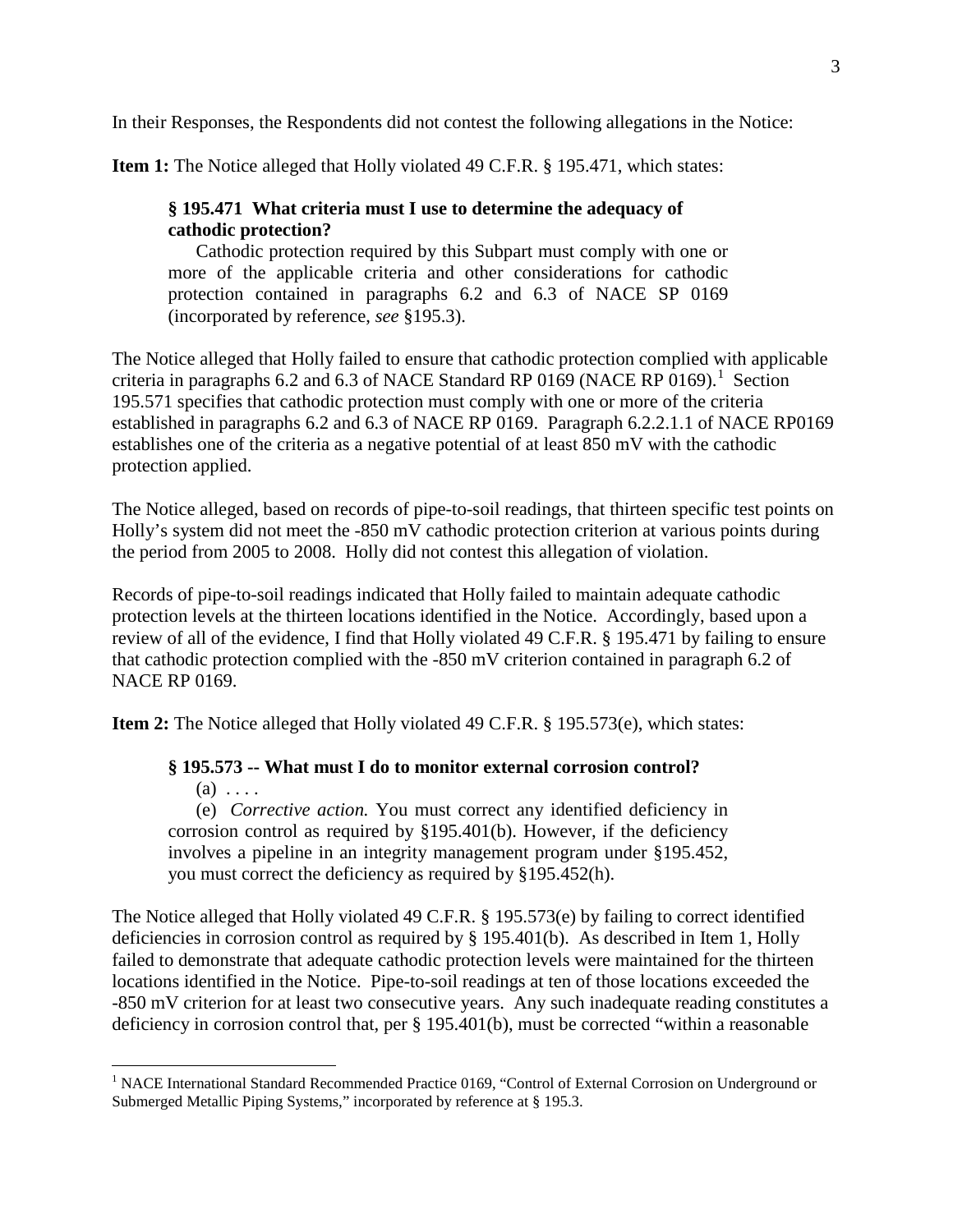In their Responses, the Respondents did not contest the following allegations in the Notice:

**Item 1:** The Notice alleged that Holly violated 49 C.F.R. § 195.471, which states:

# **§ 195.471 What criteria must I use to determine the adequacy of cathodic protection?**

 Cathodic protection required by this Subpart must comply with one or more of the applicable criteria and other considerations for cathodic protection contained in paragraphs 6.2 and 6.3 of NACE SP 0169 (incorporated by reference, *see* §195.3).

The Notice alleged that Holly failed to ensure that cathodic protection complied with applicable criteria in paragraphs 6.2 and 6.3 of NACE Standard RP 0[1](#page-2-0)69 (NACE RP 0169).<sup>1</sup> Section 195.571 specifies that cathodic protection must comply with one or more of the criteria established in paragraphs 6.2 and 6.3 of NACE RP 0169. Paragraph 6.2.2.1.1 of NACE RP0169 establishes one of the criteria as a negative potential of at least 850 mV with the cathodic protection applied.

The Notice alleged, based on records of pipe-to-soil readings, that thirteen specific test points on Holly's system did not meet the -850 mV cathodic protection criterion at various points during the period from 2005 to 2008. Holly did not contest this allegation of violation.

Records of pipe-to-soil readings indicated that Holly failed to maintain adequate cathodic protection levels at the thirteen locations identified in the Notice. Accordingly, based upon a review of all of the evidence, I find that Holly violated 49 C.F.R. § 195.471 by failing to ensure that cathodic protection complied with the -850 mV criterion contained in paragraph 6.2 of NACE RP 0169.

**Item 2:** The Notice alleged that Holly violated 49 C.F.R. § 195.573(e), which states:

# **§ 195.573 -- What must I do to monitor external corrosion control?**

 $(a)$ ...

 (e) *Corrective action.* You must correct any identified deficiency in corrosion control as required by §195.401(b). However, if the deficiency involves a pipeline in an integrity management program under §195.452, you must correct the deficiency as required by §195.452(h).

The Notice alleged that Holly violated 49 C.F.R. § 195.573(e) by failing to correct identified deficiencies in corrosion control as required by § 195.401(b). As described in Item 1, Holly failed to demonstrate that adequate cathodic protection levels were maintained for the thirteen locations identified in the Notice. Pipe-to-soil readings at ten of those locations exceeded the -850 mV criterion for at least two consecutive years. Any such inadequate reading constitutes a deficiency in corrosion control that, per § 195.401(b), must be corrected "within a reasonable

<span id="page-2-0"></span><sup>&</sup>lt;sup>1</sup> NACE International Standard Recommended Practice 0169, "Control of External Corrosion on Underground or Submerged Metallic Piping Systems," incorporated by reference at § 195.3.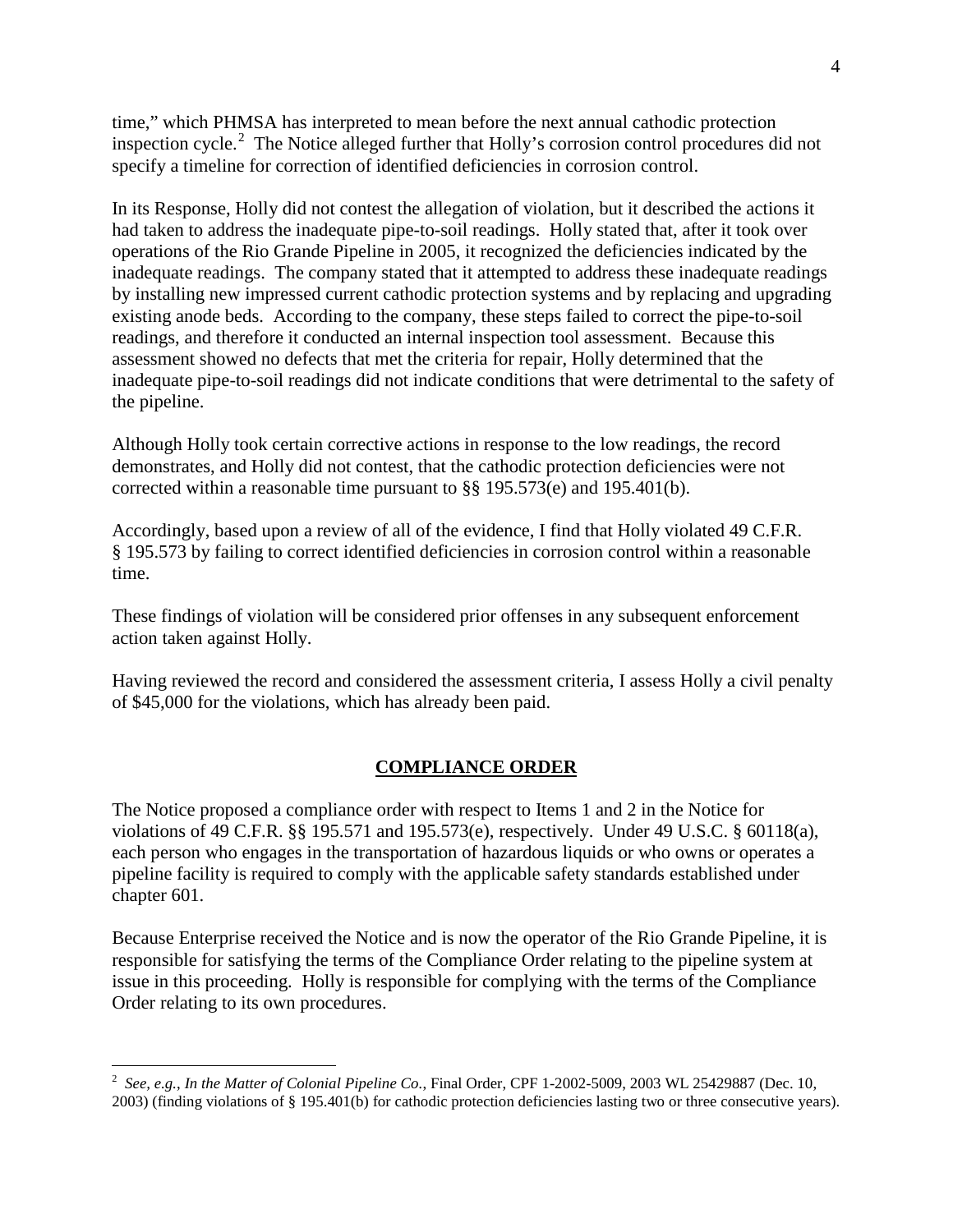time," which PHMSA has interpreted to mean before the next annual cathodic protection inspection cycle.<sup>[2](#page-3-0)</sup> The Notice alleged further that Holly's corrosion control procedures did not specify a timeline for correction of identified deficiencies in corrosion control.

In its Response, Holly did not contest the allegation of violation, but it described the actions it had taken to address the inadequate pipe-to-soil readings. Holly stated that, after it took over operations of the Rio Grande Pipeline in 2005, it recognized the deficiencies indicated by the inadequate readings. The company stated that it attempted to address these inadequate readings by installing new impressed current cathodic protection systems and by replacing and upgrading existing anode beds. According to the company, these steps failed to correct the pipe-to-soil readings, and therefore it conducted an internal inspection tool assessment. Because this assessment showed no defects that met the criteria for repair, Holly determined that the inadequate pipe-to-soil readings did not indicate conditions that were detrimental to the safety of the pipeline.

Although Holly took certain corrective actions in response to the low readings, the record demonstrates, and Holly did not contest, that the cathodic protection deficiencies were not corrected within a reasonable time pursuant to §§ 195.573(e) and 195.401(b).

Accordingly, based upon a review of all of the evidence, I find that Holly violated 49 C.F.R. § 195.573 by failing to correct identified deficiencies in corrosion control within a reasonable time.

These findings of violation will be considered prior offenses in any subsequent enforcement action taken against Holly.

Having reviewed the record and considered the assessment criteria, I assess Holly a civil penalty of \$45,000 for the violations, which has already been paid.

### **COMPLIANCE ORDER**

The Notice proposed a compliance order with respect to Items 1 and 2 in the Notice for violations of 49 C.F.R. §§ 195.571 and 195.573(e), respectively. Under 49 U.S.C. § 60118(a), each person who engages in the transportation of hazardous liquids or who owns or operates a pipeline facility is required to comply with the applicable safety standards established under chapter 601.

Because Enterprise received the Notice and is now the operator of the Rio Grande Pipeline, it is responsible for satisfying the terms of the Compliance Order relating to the pipeline system at issue in this proceeding. Holly is responsible for complying with the terms of the Compliance Order relating to its own procedures.

<span id="page-3-0"></span> $\frac{1}{2}$  *See, e.g.*, *In the Matter of Colonial Pipeline Co.*, Final Order, CPF 1-2002-5009, 2003 WL 25429887 (Dec. 10, 2003) (finding violations of § 195.401(b) for cathodic protection deficiencies lasting two or three consecutive years).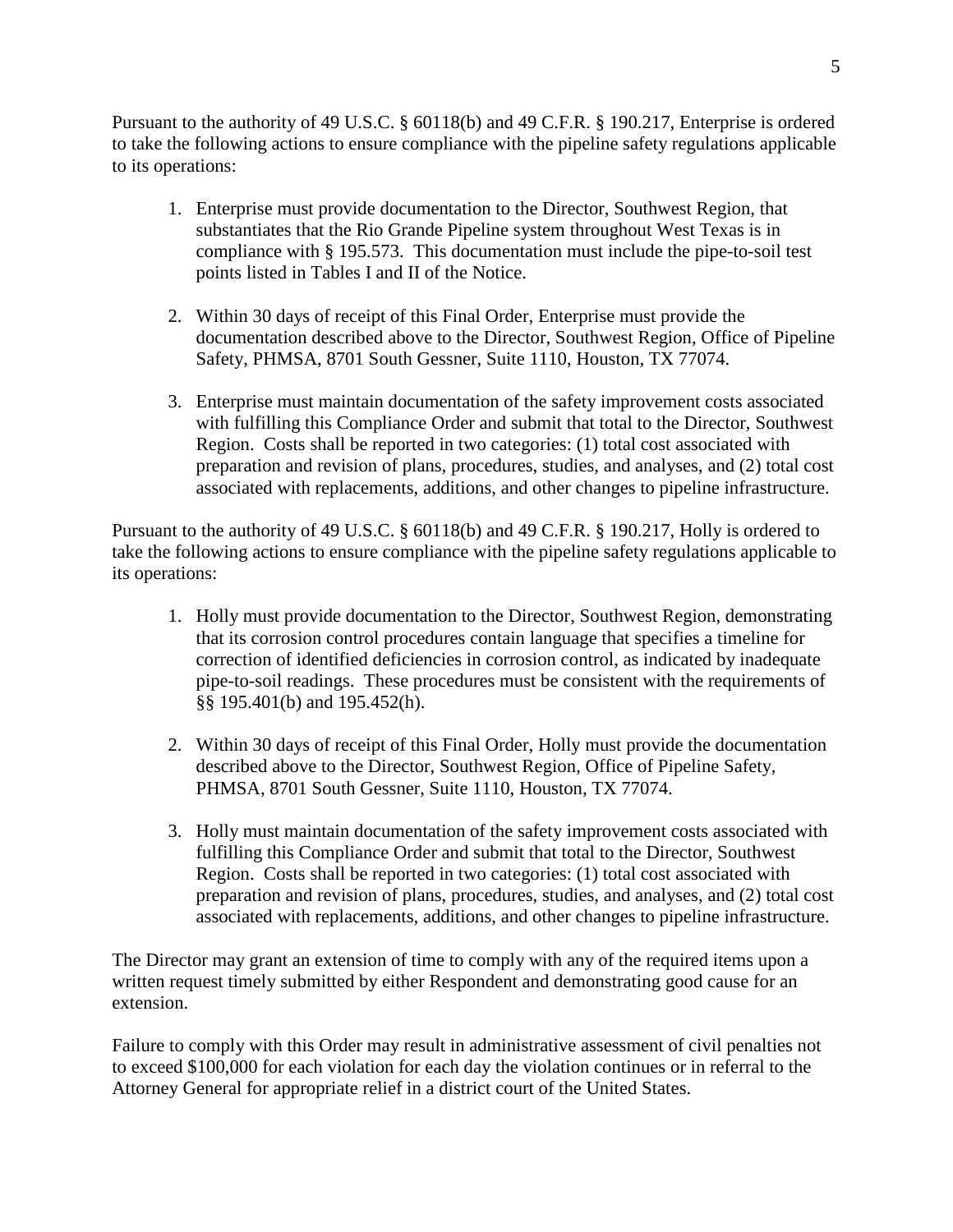Pursuant to the authority of 49 U.S.C. § 60118(b) and 49 C.F.R. § 190.217, Enterprise is ordered to take the following actions to ensure compliance with the pipeline safety regulations applicable to its operations:

- 1. Enterprise must provide documentation to the Director, Southwest Region, that substantiates that the Rio Grande Pipeline system throughout West Texas is in compliance with § 195.573. This documentation must include the pipe-to-soil test points listed in Tables I and II of the Notice.
- 2. Within 30 days of receipt of this Final Order, Enterprise must provide the documentation described above to the Director, Southwest Region, Office of Pipeline Safety, PHMSA, 8701 South Gessner, Suite 1110, Houston, TX 77074.
- 3. Enterprise must maintain documentation of the safety improvement costs associated with fulfilling this Compliance Order and submit that total to the Director, Southwest Region. Costs shall be reported in two categories: (1) total cost associated with preparation and revision of plans, procedures, studies, and analyses, and (2) total cost associated with replacements, additions, and other changes to pipeline infrastructure.

Pursuant to the authority of 49 U.S.C. § 60118(b) and 49 C.F.R. § 190.217, Holly is ordered to take the following actions to ensure compliance with the pipeline safety regulations applicable to its operations:

- 1. Holly must provide documentation to the Director, Southwest Region, demonstrating that its corrosion control procedures contain language that specifies a timeline for correction of identified deficiencies in corrosion control, as indicated by inadequate pipe-to-soil readings. These procedures must be consistent with the requirements of §§ 195.401(b) and 195.452(h).
- 2. Within 30 days of receipt of this Final Order, Holly must provide the documentation described above to the Director, Southwest Region, Office of Pipeline Safety, PHMSA, 8701 South Gessner, Suite 1110, Houston, TX 77074.
- 3. Holly must maintain documentation of the safety improvement costs associated with fulfilling this Compliance Order and submit that total to the Director, Southwest Region. Costs shall be reported in two categories: (1) total cost associated with preparation and revision of plans, procedures, studies, and analyses, and (2) total cost associated with replacements, additions, and other changes to pipeline infrastructure.

The Director may grant an extension of time to comply with any of the required items upon a written request timely submitted by either Respondent and demonstrating good cause for an extension.

Failure to comply with this Order may result in administrative assessment of civil penalties not to exceed \$100,000 for each violation for each day the violation continues or in referral to the Attorney General for appropriate relief in a district court of the United States.